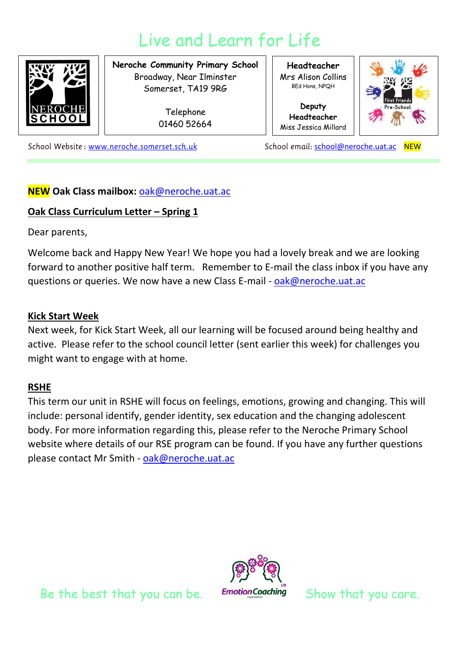# Live and Learn for Life



**Neroche Community Primary School** Broadway, Near Ilminster Somerset, TA19 9RG

> Telephone 01460 52664

**Headteacher** Mrs Alison Collins BEd Hons, NPQH

**Deputy Headteacher** Miss Jessica Millard



School Website: www.neroche.somerset.sch.uk

School email: [school@neroche.uat.ac](mailto:school@neroche.uat.ac) NEW

# **NEW Oak Class mailbox:** [oak@neroche.uat.ac](mailto:oak@neroche.uat.ac)

## **Oak Class Curriculum Letter – Spring 1**

Dear parents,

Welcome back and Happy New Year! We hope you had a lovely break and we are looking forward to another positive half term. Remember to E-mail the class inbox if you have any questions or queries. We now have a new Class E-mail - [oak@neroche.uat.ac](mailto:oak@neroche.uat.ac)

#### **Kick Start Week**

Next week, for Kick Start Week, all our learning will be focused around being healthy and active. Please refer to the school council letter (sent earlier this week) for challenges you might want to engage with at home.

## **RSHE**

This term our unit in RSHE will focus on feelings, emotions, growing and changing. This will include: personal identify, gender identity, sex education and the changing adolescent body. For more information regarding this, please refer to the Neroche Primary School website where details of our RSE program can be found. If you have any further questions please contact Mr Smith - [oak@neroche.uat.ac](mailto:oak@neroche.uat.ac)

Be the best that you can be. Emotion Coaching Show that you care.